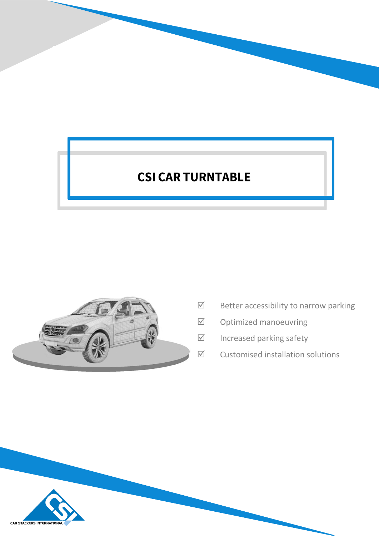# **CSI CAR TURNTABLE**



- $\boxtimes$  Better accessibility to narrow parking
- $\boxtimes$  Optimized manoeuvring
- $\boxdot$  Increased parking safety
- $\boxtimes$  Customised installation solutions

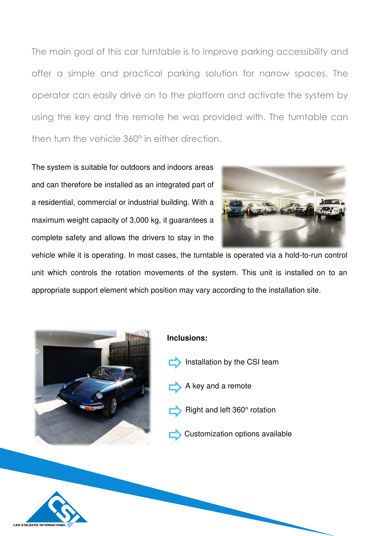The main goal of this car turntable is to improve parking accessibility and offer a simple and practical parking solution for narrow spaces. The operator can easily drive on to the platform and activate the system by using the key and the remote he was provided with. The turntable can then turn the vehicle 360° in either direction.

The system is suitable for outdoors and indoors areas and can therefore be installed as an integrated part of a residential, commercial or industrial building. With a maximum weight capacity of 3,000 kg, it guarantees a complete safety and allows the drivers to stay in the



vehicle while it is operating. In most cases, the turntable is operated via a hold-to-run control unit which controls the rotation movements of the system. This unit is installed on to an appropriate support element which position may vary according to the installation site.



#### **Inclusions:**

- Installation by the CSI team
- A key and a remote
- Right and left 360° rotation
- Customization options available

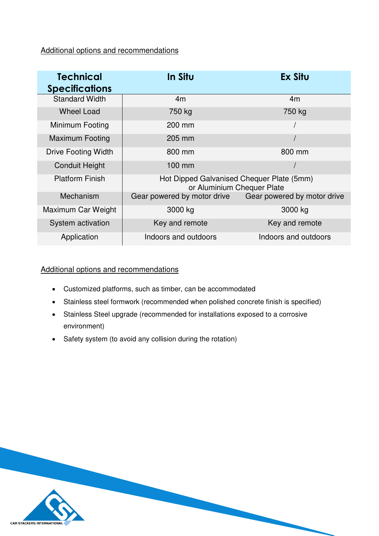Additional options and recommendations

| <b>Technical</b><br><b>Specifications</b> | In Situ                                                                 | <b>Ex Situ</b>              |
|-------------------------------------------|-------------------------------------------------------------------------|-----------------------------|
| <b>Standard Width</b>                     | 4m                                                                      | 4m                          |
| <b>Wheel Load</b>                         | 750 kg                                                                  | 750 kg                      |
| Minimum Footing                           | 200 mm                                                                  |                             |
| <b>Maximum Footing</b>                    | 205 mm                                                                  |                             |
| <b>Drive Footing Width</b>                | 800 mm                                                                  | 800 mm                      |
| <b>Conduit Height</b>                     | $100$ mm                                                                |                             |
| <b>Platform Finish</b>                    | Hot Dipped Galvanised Chequer Plate (5mm)<br>or Aluminium Chequer Plate |                             |
| Mechanism                                 | Gear powered by motor drive                                             | Gear powered by motor drive |
| Maximum Car Weight                        | 3000 kg                                                                 | 3000 kg                     |
| System activation                         | Key and remote                                                          | Key and remote              |
| Application                               | Indoors and outdoors                                                    | Indoors and outdoors        |

### Additional options and recommendations

- Customized platforms, such as timber, can be accommodated
- Stainless steel formwork (recommended when polished concrete finish is specified)
- Stainless Steel upgrade (recommended for installations exposed to a corrosive environment)
- Safety system (to avoid any collision during the rotation)

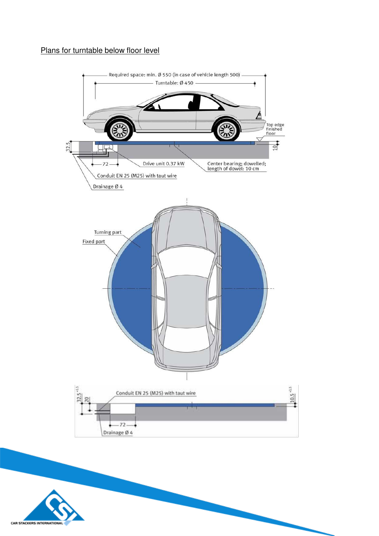## Plans for turntable below floor level